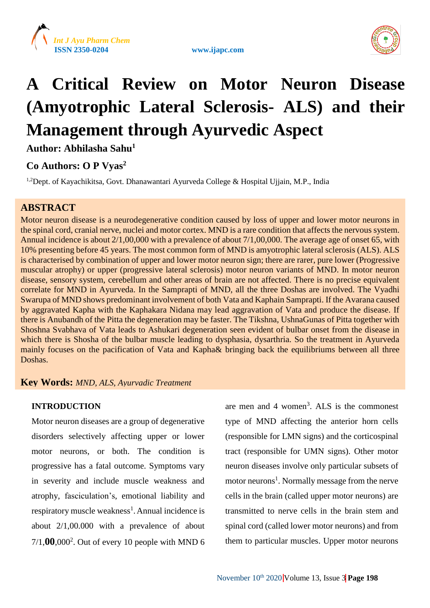





# **A Critical Review on Motor Neuron Disease (Amyotrophic Lateral Sclerosis- ALS) and their Management through Ayurvedic Aspect**

**Author: Abhilasha Sahu<sup>1</sup>**

# **Co Authors: O P Vyas<sup>2</sup>**

<sup>1,2</sup>Dept. of Kayachikitsa, Govt. Dhanawantari Ayurveda College & Hospital Ujjain, M.P., India

# **ABSTRACT**

Motor neuron disease is a neurodegenerative condition caused by loss of upper and lower motor neurons in the spinal cord, cranial nerve, nuclei and motor cortex. MND is a rare condition that affects the nervous system. Annual incidence is about 2/1,00,000 with a prevalence of about 7/1,00,000. The average age of onset 65, with 10% presenting before 45 years. The most common form of MND is amyotrophic lateral sclerosis (ALS). ALS is characterised by combination of upper and lower motor neuron sign; there are rarer, pure lower (Progressive muscular atrophy) or upper (progressive lateral sclerosis) motor neuron variants of MND. In motor neuron disease, sensory system, cerebellum and other areas of brain are not affected. There is no precise equivalent correlate for MND in Ayurveda. In the Samprapti of MND, all the three Doshas are involved. The Vyadhi Swarupa of MND shows predominant involvement of both Vata and Kaphain Samprapti. If the Avarana caused by aggravated Kapha with the Kaphakara Nidana may lead aggravation of Vata and produce the disease. If there is Anubandh of the Pitta the degeneration may be faster. The Tikshna, UshnaGunas of Pitta together with Shoshna Svabhava of Vata leads to Ashukari degeneration seen evident of bulbar onset from the disease in which there is Shosha of the bulbar muscle leading to dysphasia, dysarthria. So the treatment in Ayurveda mainly focuses on the pacification of Vata and Kapha& bringing back the equilibriums between all three Doshas.

# **Key Words:** *MND, ALS, Ayurvadic Treatment*

#### **INTRODUCTION**

Motor neuron diseases are a group of degenerative disorders selectively affecting upper or lower motor neurons, or both. The condition is progressive has a fatal outcome. Symptoms vary in severity and include muscle weakness and atrophy, fasciculation's, emotional liability and respiratory muscle weakness<sup>1</sup>. Annual incidence is about 2/1,00.000 with a prevalence of about 7/1,**00**,000<sup>2</sup> . Out of every 10 people with MND 6

are men and 4 women<sup>3</sup>. ALS is the commonest type of MND affecting the anterior horn cells (responsible for LMN signs) and the corticospinal tract (responsible for UMN signs). Other motor neuron diseases involve only particular subsets of motor neurons<sup>1</sup>. Normally message from the nerve cells in the brain (called upper motor neurons) are transmitted to nerve cells in the brain stem and spinal cord (called lower motor neurons) and from them to particular muscles. Upper motor neurons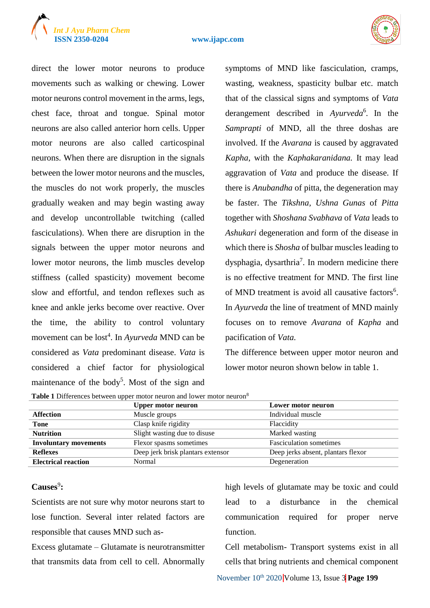# *<i>J* Ayu Pharm Chem





direct the lower motor neurons to produce movements such as walking or chewing. Lower motor neurons control movement in the arms, legs, chest face, throat and tongue. Spinal motor neurons are also called anterior horn cells. Upper motor neurons are also called carticospinal neurons. When there are disruption in the signals between the lower motor neurons and the muscles, the muscles do not work properly, the muscles gradually weaken and may begin wasting away and develop uncontrollable twitching (called fasciculations). When there are disruption in the signals between the upper motor neurons and lower motor neurons, the limb muscles develop stiffness (called spasticity) movement become slow and effortful, and tendon reflexes such as knee and ankle jerks become over reactive. Over the time, the ability to control voluntary movement can be lost<sup>4</sup>. In *Ayurveda* MND can be considered as *Vata* predominant disease. *Vata* is considered a chief factor for physiological maintenance of the body<sup>5</sup>. Most of the sign and symptoms of MND like fasciculation, cramps, wasting, weakness, spasticity bulbar etc. match that of the classical signs and symptoms of *Vata* derangement described in *Ayurveda*<sup>6</sup> *.* In the *Samprapti* of MND, all the three doshas are involved. If the *Avarana* is caused by aggravated *Kapha*, with the *Kaphakaranidana.* It may lead aggravation of *Vata* and produce the disease. If there is *Anubandha* of pitta, the degeneration may be faster. The *Tikshna, Ushna Gunas* of *Pitta*  together with *Shoshana Svabhava* of *Vata* leads to *Ashukari* degeneration and form of the disease in which there is *Shosha* of bulbar muscles leading to dysphagia, dysarthria<sup>7</sup>. In modern medicine there is no effective treatment for MND. The first line of MND treatment is avoid all causative factors<sup>6</sup>. In *Ayurveda* the line of treatment of MND mainly focuses on to remove *Avarana* of *Kapha* and pacification of *Vata.*

The difference between upper motor neuron and lower motor neuron shown below in table 1.

| Table 1 Differences between upper motor neuron and lower motor neuron <sup>8</sup> |
|------------------------------------------------------------------------------------|
|------------------------------------------------------------------------------------|

|                              | <b>Upper motor neuron</b>         | Lower motor neuron                 |
|------------------------------|-----------------------------------|------------------------------------|
| <b>Affection</b>             | Muscle groups                     | Individual muscle                  |
| Tone                         | Clasp knife rigidity              | Flaccidity                         |
| <b>Nutrition</b>             | Slight wasting due to disuse      | Marked wasting                     |
| <b>Involuntary movements</b> | Flexor spasms sometimes           | <b>Fasciculation sometimes</b>     |
| <b>Reflexes</b>              | Deep jerk brisk plantars extensor | Deep jerks absent, plantars flexor |
| <b>Electrical reaction</b>   | Normal                            | Degeneration                       |

# Causes<sup>9</sup>:

Scientists are not sure why motor neurons start to lose function. Several inter related factors are responsible that causes MND such as-

Excess glutamate – Glutamate is neurotransmitter that transmits data from cell to cell. Abnormally high levels of glutamate may be toxic and could lead to a disturbance in the chemical communication required for proper nerve function.

Cell metabolism- Transport systems exist in all cells that bring nutrients and chemical component

November 10th 2020 Volume 13, Issue 3 **Page 199**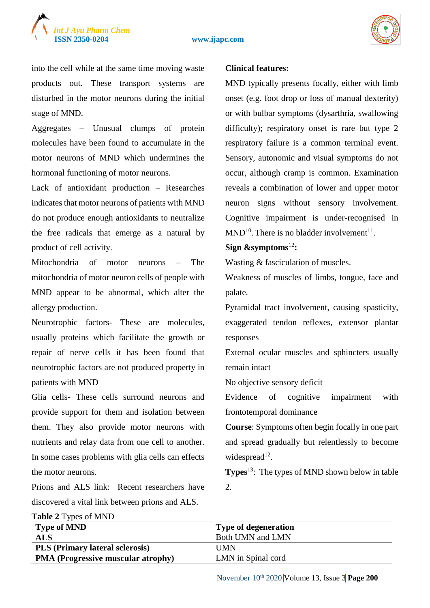

into the cell while at the same time moving waste products out. These transport systems are disturbed in the motor neurons during the initial stage of MND.

Aggregates – Unusual clumps of protein molecules have been found to accumulate in the motor neurons of MND which undermines the hormonal functioning of motor neurons.

Lack of antioxidant production – Researches indicates that motor neurons of patients with MND do not produce enough antioxidants to neutralize the free radicals that emerge as a natural by product of cell activity.

Mitochondria of motor neurons – The mitochondria of motor neuron cells of people with MND appear to be abnormal, which alter the allergy production.

Neurotrophic factors- These are molecules, usually proteins which facilitate the growth or repair of nerve cells it has been found that neurotrophic factors are not produced property in patients with MND

Glia cells- These cells surround neurons and provide support for them and isolation between them. They also provide motor neurons with nutrients and relay data from one cell to another. In some cases problems with glia cells can effects the motor neurons.

Prions and ALS link: Recent researchers have discovered a vital link between prions and ALS.

#### **Clinical features:**

MND typically presents focally, either with limb onset (e.g. foot drop or loss of manual dexterity) or with bulbar symptoms (dysarthria, swallowing difficulty); respiratory onset is rare but type 2 respiratory failure is a common terminal event. Sensory, autonomic and visual symptoms do not occur, although cramp is common. Examination reveals a combination of lower and upper motor neuron signs without sensory involvement. Cognitive impairment is under-recognised in  $MND<sup>10</sup>$ . There is no bladder involvement<sup>11</sup>.

#### **Sign &symptoms**<sup>12</sup>**:**

Wasting & fasciculation of muscles.

Weakness of muscles of limbs, tongue, face and palate.

Pyramidal tract involvement, causing spasticity, exaggerated tendon reflexes, extensor plantar responses

External ocular muscles and sphincters usually remain intact

No objective sensory deficit

Evidence of cognitive impairment with frontotemporal dominance

**Course**: Symptoms often begin focally in one part and spread gradually but relentlessly to become widespread $^{12}$ .

**Types**<sup>13</sup>: The types of MND shown below in table 2.

| <b>Table</b> $\angle$ Types of MIND       |                             |
|-------------------------------------------|-----------------------------|
| <b>Type of MND</b>                        | <b>Type of degeneration</b> |
| $\mathbf{ALS}\$                           | Both UMN and LMN            |
| <b>PLS</b> (Primary lateral sclerosis)    | I IMN                       |
| <b>PMA (Progressive muscular atrophy)</b> | LMN in Spinal cord          |
|                                           |                             |

**Table 2** Types of MND

November  $10^{th}$  2020 Volume 13, Issue 3 Page 200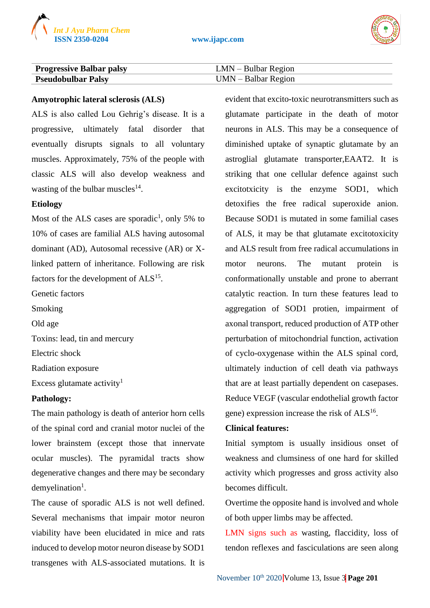



| <b>Progressive Balbar palsy</b> | $LMN - Bulbar Region$ |
|---------------------------------|-----------------------|
| <b>Pseudobulbar Palsy</b>       | $UMN - Balbar Region$ |

#### **Amyotrophic lateral sclerosis (ALS)**

ALS is also called Lou Gehrig's disease. It is a progressive, ultimately fatal disorder that eventually disrupts signals to all voluntary muscles. Approximately, 75% of the people with classic ALS will also develop weakness and wasting of the bulbar muscles $^{14}$ .

#### **Etiology**

Most of the ALS cases are sporadic<sup>1</sup>, only 5% to 10% of cases are familial ALS having autosomal dominant (AD), Autosomal recessive (AR) or Xlinked pattern of inheritance. Following are risk factors for the development of  $ALS<sup>15</sup>$ .

Genetic factors

Smoking

Old age

Toxins: lead, tin and mercury

Electric shock

Radiation exposure

Excess glutamate activity<sup>1</sup>

#### **Pathology:**

The main pathology is death of anterior horn cells of the spinal cord and cranial motor nuclei of the lower brainstem (except those that innervate ocular muscles). The pyramidal tracts show degenerative changes and there may be secondary  $d$ emyelination<sup>1</sup>.

The cause of sporadic ALS is not well defined. Several mechanisms that impair motor neuron viability have been elucidated in mice and rats induced to develop motor neuron disease by SOD1 transgenes with ALS-associated mutations. It is evident that excito-toxic neurotransmitters such as glutamate participate in the death of motor neurons in ALS. This may be a consequence of diminished uptake of synaptic glutamate by an astroglial glutamate transporter,EAAT2. It is striking that one cellular defence against such excitotxicity is the enzyme SOD1, which detoxifies the free radical superoxide anion. Because SOD1 is mutated in some familial cases of ALS, it may be that glutamate excitotoxicity and ALS result from free radical accumulations in motor neurons. The mutant protein is conformationally unstable and prone to aberrant catalytic reaction. In turn these features lead to aggregation of SOD1 protien, impairment of axonal transport, reduced production of ATP other perturbation of mitochondrial function, activation of cyclo-oxygenase within the ALS spinal cord, ultimately induction of cell death via pathways that are at least partially dependent on casepases. Reduce VEGF (vascular endothelial growth factor gene) expression increase the risk of ALS<sup>16</sup>.

#### **Clinical features:**

Initial symptom is usually insidious onset of weakness and clumsiness of one hard for skilled activity which progresses and gross activity also becomes difficult.

Overtime the opposite hand is involved and whole of both upper limbs may be affected.

LMN signs such as wasting, flaccidity, loss of tendon reflexes and fasciculations are seen along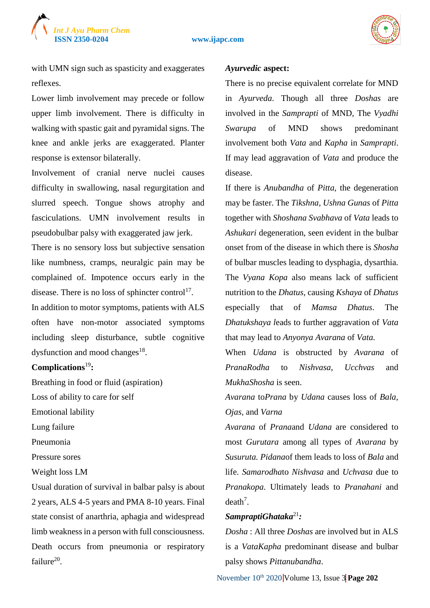

with UMN sign such as spasticity and exaggerates reflexes.

Lower limb involvement may precede or follow upper limb involvement. There is difficulty in walking with spastic gait and pyramidal signs. The knee and ankle jerks are exaggerated. Planter response is extensor bilaterally.

Involvement of cranial nerve nuclei causes difficulty in swallowing, nasal regurgitation and slurred speech. Tongue shows atrophy and fasciculations. UMN involvement results in pseudobulbar palsy with exaggerated jaw jerk.

There is no sensory loss but subjective sensation like numbness, cramps, neuralgic pain may be complained of. Impotence occurs early in the disease. There is no loss of sphincter control<sup>17</sup>. In addition to motor symptoms, patients with ALS often have non-motor associated symptoms including sleep disturbance, subtle cognitive dysfunction and mood changes $18$ .

#### **Complications**<sup>19</sup>**:**

Breathing in food or fluid (aspiration) Loss of ability to care for self

Emotional lability

Lung failure

Pneumonia

Pressure sores

Weight loss LM

Usual duration of survival in balbar palsy is about 2 years, ALS 4-5 years and PMA 8-10 years. Final state consist of anarthria, aphagia and widespread limb weakness in a person with full consciousness. Death occurs from pneumonia or respiratory failure<sup>20</sup>.

#### *Ayurvedic* **aspect:**

There is no precise equivalent correlate for MND in *Ayurveda*. Though all three *Doshas* are involved in the *Samprapti* of MND, The *Vyadhi Swarupa* of MND shows predominant involvement both *Vata* and *Kapha* in *Samprapti*. If may lead aggravation of *Vata* and produce the disease.

If there is *Anubandha* of *Pitta,* the degeneration may be faster. The *Tikshna, Ushna Gunas* of *Pitta* together with *Shoshana Svabhava* of *Vata* leads to *Ashukari* degeneration, seen evident in the bulbar onset from of the disease in which there is *Shosha*  of bulbar muscles leading to dysphagia, dysarthia. The *Vyana Kopa* also means lack of sufficient nutrition to the *Dhatus*, causing *Kshaya* of *Dhatus* especially that of *Mamsa Dhatus*. The *Dhatukshaya l*eads to further aggravation of *Vata*  that may lead to *Anyonya Avarana* of *Vata.*

When *Udana* is obstructed by *Avarana* of *PranaRodha* to *Nishvasa*, *Ucchvas* and *MukhaShosha* is seen.

*Avarana* to*Prana* by *Udana* causes loss of *Bala, Ojas,* and *Varna*

*Avarana* of *Prana*and *Udana* are considered to most *Gurutara* among all types of *Avarana* by *Susuruta. Pidana*of them leads to loss of *Bala* and life. *Samarodha*to *Nishvasa* and *Uchvasa* due to *Pranakopa*. Ultimately leads to *Pranahani* and  $death<sup>7</sup>$ .

#### *SampraptiGhataka*<sup>21</sup>*:*

*Dosha* : All three *Doshas* are involved but in ALS is a *VataKapha* predominant disease and bulbar palsy shows *Pittanubandha*.

November 10<sup>th</sup> 2020 **Volume 13, Issue 3 Page 202**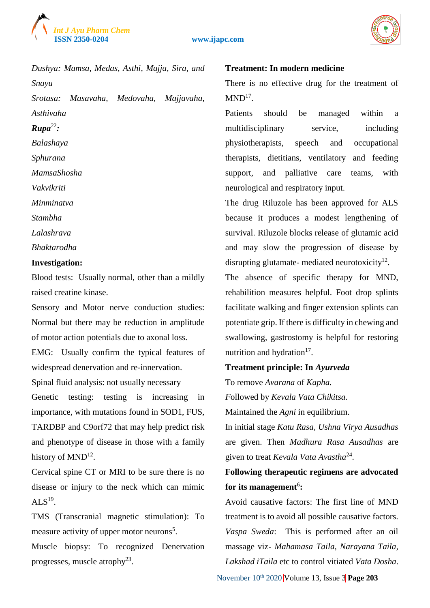



*Dushya: Mamsa, Medas, Asthi, Majja, Sira, and Snayu Srotasa: Masavaha, Medovaha, Majjavaha, Asthivaha*  $Runa^{22}$ *Balashaya Sphurana MamsaShosha Vakvikriti Minminatva Stambha Lalashrava Bhaktarodha* **Investigation:**

Blood tests: Usually normal, other than a mildly raised creatine kinase.

Sensory and Motor nerve conduction studies: Normal but there may be reduction in amplitude of motor action potentials due to axonal loss.

EMG: Usually confirm the typical features of widespread denervation and re-innervation.

Spinal fluid analysis: not usually necessary

Genetic testing: testing is increasing in importance, with mutations found in SOD1, FUS, TARDBP and C9orf72 that may help predict risk and phenotype of disease in those with a family history of  $MND<sup>12</sup>$ .

Cervical spine CT or MRI to be sure there is no disease or injury to the neck which can mimic  $ALS<sup>19</sup>$ .

TMS (Transcranial magnetic stimulation): To measure activity of upper motor neurons<sup>5</sup>.

Muscle biopsy: To recognized Denervation progresses, muscle atrophy<sup>23</sup>.

#### **Treatment: In modern medicine**

There is no effective drug for the treatment of  $MND<sup>17</sup>$ .

Patients should be managed within a multidisciplinary service, including physiotherapists, speech and occupational therapists, dietitians, ventilatory and feeding support, and palliative care teams, with neurological and respiratory input.

The drug Riluzole has been approved for ALS because it produces a modest lengthening of survival. Riluzole blocks release of glutamic acid and may slow the progression of disease by disrupting glutamate- mediated neurotoxicity $^{12}$ .

The absence of specific therapy for MND, rehabilition measures helpful. Foot drop splints facilitate walking and finger extension splints can potentiate grip. If there is difficulty in chewing and swallowing, gastrostomy is helpful for restoring nutrition and hydration<sup>17</sup>.

#### **Treatment principle: In** *Ayurveda*

To remove *Avarana* of *Kapha.*

*F*ollowed by *Kevala Vata Chikitsa.* 

Maintained the *Agni* in equilibrium.

In initial stage *Katu Rasa, Ushna Virya Ausadhas*  are given. Then *Madhura Rasa Ausadhas* are given to treat *Kevala Vata Avastha*<sup>24</sup> *.*

# **Following therapeutic regimens are advocated**  for its management<sup>6</sup>:

Avoid causative factors: The first line of MND treatment is to avoid all possible causative factors. *Vaspa Sweda*: This is performed after an oil massage viz- *Mahamasa Taila, Narayana Taila, Lakshad iTaila* etc to control vitiated *Vata Dosha*.

November  $10^{th}$  2020 Volume 13, Issue 3 Page 203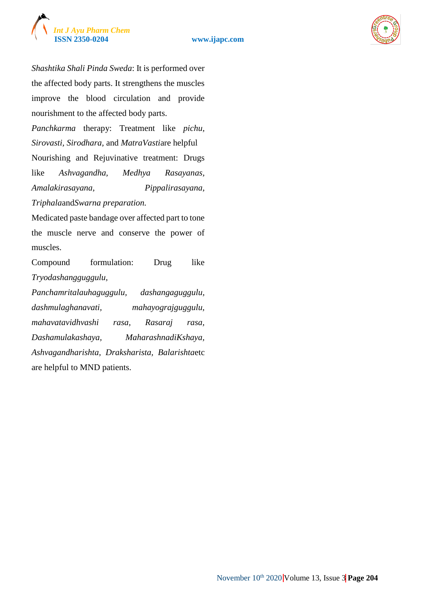



*Shashtika Shali Pinda Sweda*: It is performed over the affected body parts. It strengthens the muscles improve the blood circulation and provide nourishment to the affected body parts.

*Panchkarma* therapy: Treatment like *pichu, Sirovasti, Sirodhara,* and *MatraVasti*are helpful Nourishing and Rejuvinative treatment: Drugs like *Ashvagandha, Medhya Rasayanas, Amalakirasayana, Pippalirasayana,* 

*Triphala*and*Swarna preparation.*

Medicated paste bandage over affected part to tone the muscle nerve and conserve the power of muscles.

Compound formulation: Drug like *Tryodashangguggulu,* 

*Panchamritalauhaguggulu, dashangaguggulu, dashmulaghanavati, mahayograjguggulu, mahavatavidhvashi rasa, Rasaraj rasa, Dashamulakashaya, MaharashnadiKshaya, Ashvagandharishta, Draksharista, Balarishta*etc are helpful to MND patients.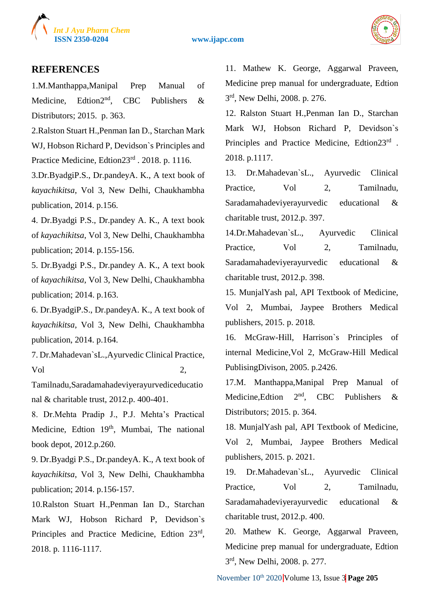



# **REFERENCES**

1.M.Manthappa,Manipal Prep Manual of Medicine, Edtion<sup>2nd</sup>, CBC Publishers & Distributors; 2015. p. 363.

2.Ralston Stuart H.,Penman Ian D., Starchan Mark WJ, Hobson Richard P, Devidson`s Principles and Practice Medicine, Edtion23rd . 2018. p. 1116.

3.Dr.ByadgiP.S., Dr.pandeyA. K., A text book of *kayachikitsa*, Vol 3, New Delhi, Chaukhambha publication, 2014. p.156.

4. Dr.Byadgi P.S., Dr.pandey A. K., A text book of *kayachikitsa*, Vol 3, New Delhi, Chaukhambha publication; 2014. p.155-156.

5. Dr.Byadgi P.S., Dr.pandey A. K., A text book of *kayachikitsa*, Vol 3, New Delhi, Chaukhambha publication; 2014. p.163.

6. Dr.ByadgiP.S., Dr.pandeyA. K., A text book of *kayachikitsa*, Vol 3, New Delhi, Chaukhambha publication, 2014. p.164.

7. Dr.Mahadevan`sL.,Ayurvedic Clinical Practice, Vol 2,

Tamilnadu,Saradamahadeviyerayurvediceducatio nal & charitable trust, 2012.p. 400-401.

8. Dr.Mehta Pradip J., P.J. Mehta's Practical Medicine, Edtion 19<sup>th</sup>, Mumbai, The national book depot, 2012.p.260.

9. Dr.Byadgi P.S., Dr.pandeyA. K., A text book of *kayachikitsa*, Vol 3, New Delhi, Chaukhambha publication; 2014. p.156-157.

10.Ralston Stuart H.,Penman Ian D., Starchan Mark WJ, Hobson Richard P, Devidson`s Principles and Practice Medicine, Edtion 23rd, 2018. p. 1116-1117.

11. Mathew K. George, Aggarwal Praveen, Medicine prep manual for undergraduate, Edtion 3 rd, New Delhi, 2008. p. 276.

12. Ralston Stuart H.,Penman Ian D., Starchan Mark WJ, Hobson Richard P, Devidson`s Principles and Practice Medicine, Edtion23rd . 2018. p.1117.

13. Dr.Mahadevan`sL., Ayurvedic Clinical Practice. Vol 2. Tamilnadu, Saradamahadeviyerayurvedic educational & charitable trust, 2012.p. 397.

14.Dr.Mahadevan`sL., Ayurvedic Clinical Practice, Vol 2, Tamilnadu, Saradamahadeviyerayurvedic educational & charitable trust, 2012.p. 398.

15. MunjalYash pal, API Textbook of Medicine, Vol 2, Mumbai, Jaypee Brothers Medical publishers, 2015. p. 2018.

16. McGraw-Hill, Harrison`s Principles of internal Medicine,Vol 2, McGraw-Hill Medical PublisingDivison, 2005. p.2426.

17.M. Manthappa,Manipal Prep Manual of Medicine, Edtion  $2<sup>nd</sup>$ , CBC Publishers & Distributors; 2015. p. 364.

18. MunjalYash pal, API Textbook of Medicine, Vol 2, Mumbai, Jaypee Brothers Medical publishers, 2015. p. 2021.

19. Dr.Mahadevan`sL., Ayurvedic Clinical Practice, Vol 2, Tamilnadu, Saradamahadeviyerayurvedic educational & charitable trust, 2012.p. 400.

20. Mathew K. George, Aggarwal Praveen, Medicine prep manual for undergraduate, Edtion 3 rd, New Delhi, 2008. p. 277.

November 10th 2020 Volume 13, Issue 3 **Page 205**